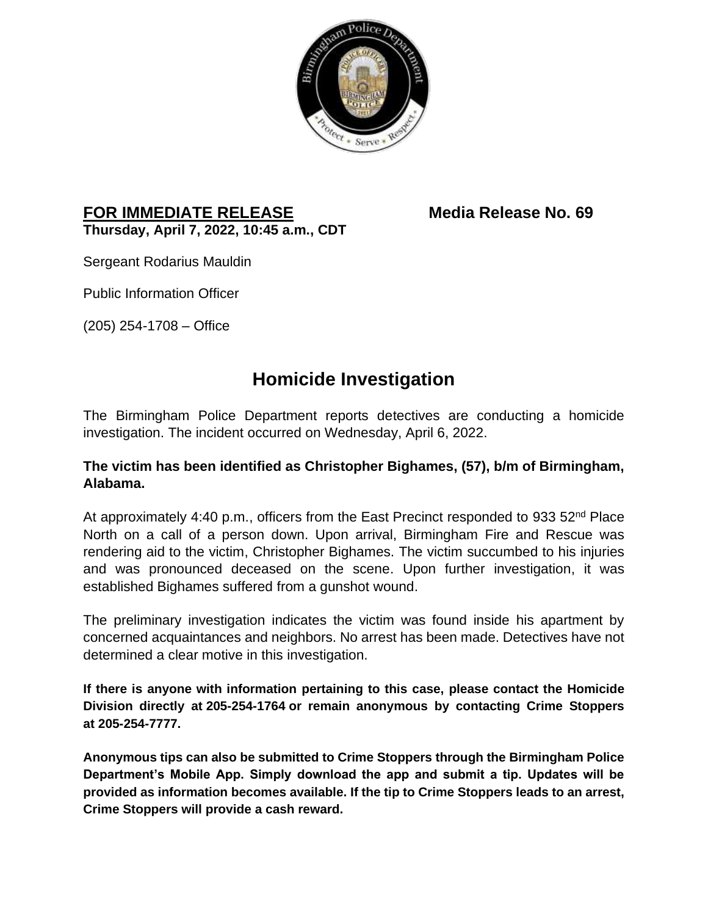

## **FOR IMMEDIATE RELEASE Media Release No. 69 Thursday, April 7, 2022, 10:45 a.m., CDT**

Sergeant Rodarius Mauldin

Public Information Officer

(205) 254-1708 – Office

## **Homicide Investigation**

The Birmingham Police Department reports detectives are conducting a homicide investigation. The incident occurred on Wednesday, April 6, 2022.

## **The victim has been identified as Christopher Bighames, (57), b/m of Birmingham, Alabama.**

At approximately 4:40 p.m., officers from the East Precinct responded to 933 52<sup>nd</sup> Place North on a call of a person down. Upon arrival, Birmingham Fire and Rescue was rendering aid to the victim, Christopher Bighames. The victim succumbed to his injuries and was pronounced deceased on the scene. Upon further investigation, it was established Bighames suffered from a gunshot wound.

The preliminary investigation indicates the victim was found inside his apartment by concerned acquaintances and neighbors. No arrest has been made. Detectives have not determined a clear motive in this investigation.

**If there is anyone with information pertaining to this case, please contact the Homicide Division directly at 205-254-1764 or remain anonymous by contacting Crime Stoppers at 205-254-7777.**

**Anonymous tips can also be submitted to Crime Stoppers through the Birmingham Police Department's Mobile App. Simply download the app and submit a tip. Updates will be provided as information becomes available. If the tip to Crime Stoppers leads to an arrest, Crime Stoppers will provide a cash reward.**